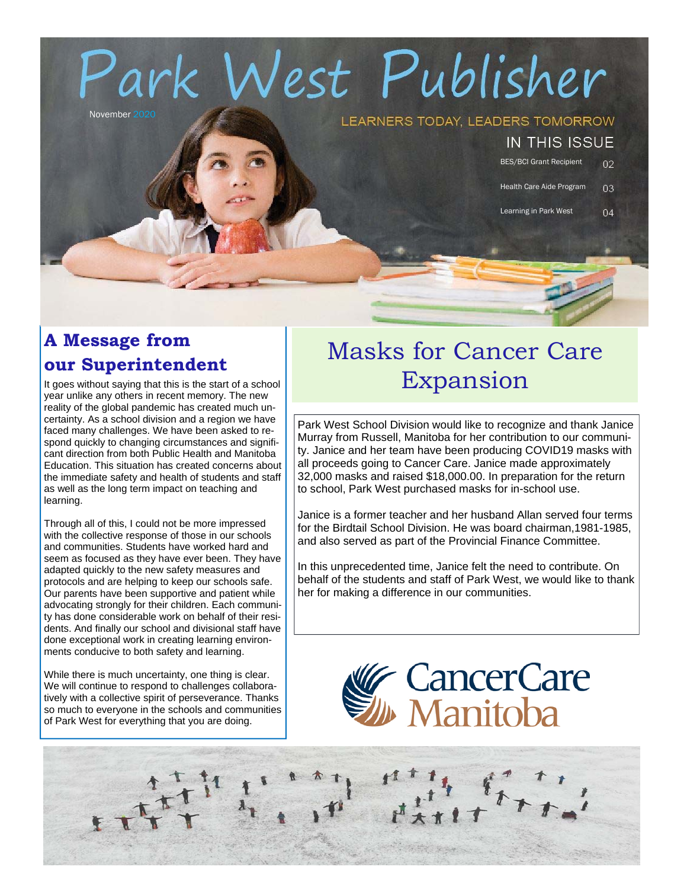# rk West Publisher

November 20

#### LEARNERS TODAY, LEADERS TOMORROW

#### IN THIS ISSUE

BES/BCI Grant Recipient  $02$ 

Health Care Aide Program  $03$ 

 $04$ 

Learning in Park West

## **A Message from our Superintendent**

It goes without saying that this is the start of a school year unlike any others in recent memory. The new reality of the global pandemic has created much uncertainty. As a school division and a region we have faced many challenges. We have been asked to respond quickly to changing circumstances and significant direction from both Public Health and Manitoba Education. This situation has created concerns about the immediate safety and health of students and staff as well as the long term impact on teaching and learning.

Through all of this, I could not be more impressed with the collective response of those in our schools and communities. Students have worked hard and seem as focused as they have ever been. They have adapted quickly to the new safety measures and protocols and are helping to keep our schools safe. Our parents have been supportive and patient while advocating strongly for their children. Each community has done considerable work on behalf of their residents. And finally our school and divisional staff have done exceptional work in creating learning environments conducive to both safety and learning.

While there is much uncertainty, one thing is clear. We will continue to respond to challenges collaboratively with a collective spirit of perseverance. Thanks so much to everyone in the schools and communities of Park West for everything that you are doing.

## Masks for Cancer Care Expansion

Park West School Division would like to recognize and thank Janice Murray from Russell, Manitoba for her contribution to our community. Janice and her team have been producing COVID19 masks with all proceeds going to Cancer Care. Janice made approximately 32,000 masks and raised \$18,000.00. In preparation for the return to school, Park West purchased masks for in-school use.

Janice is a former teacher and her husband Allan served four terms for the Birdtail School Division. He was board chairman,1981-1985, and also served as part of the Provincial Finance Committee.

In this unprecedented time, Janice felt the need to contribute. On behalf of the students and staff of Park West, we would like to thank her for making a difference in our communities.

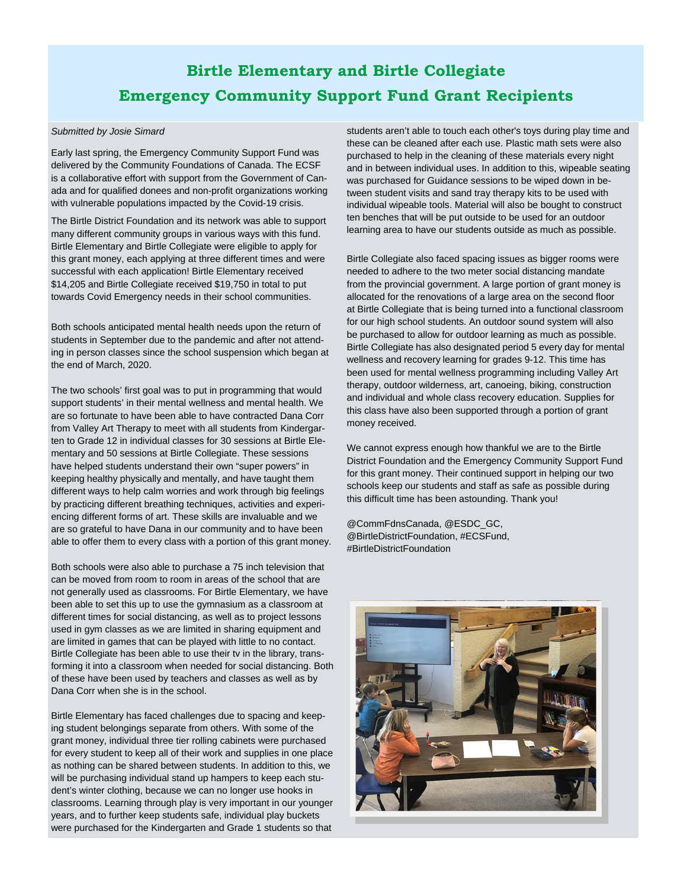## **Birtle Elementary and Birtle Collegiate Emergency Community Support Fund Grant Recipients**

#### *Submitted by Josie Simard*

Early last spring, the Emergency Community Support Fund was delivered by the Community Foundations of Canada. The ECSF is a collaborative effort with support from the Government of Canada and for qualified donees and non-profit organizations working with vulnerable populations impacted by the Covid-19 crisis.

The Birtle District Foundation and its network was able to support many different community groups in various ways with this fund. Birtle Elementary and Birtle Collegiate were eligible to apply for this grant money, each applying at three different times and were successful with each application! Birtle Elementary received \$14,205 and Birtle Collegiate received \$19,750 in total to put towards Covid Emergency needs in their school communities.

Both schools anticipated mental health needs upon the return of students in September due to the pandemic and after not attending in person classes since the school suspension which began at the end of March, 2020.

The two schools' first goal was to put in programming that would support students' in their mental wellness and mental health. We are so fortunate to have been able to have contracted Dana Corr from Valley Art Therapy to meet with all students from Kindergarten to Grade 12 in individual classes for 30 sessions at Birtle Elementary and 50 sessions at Birtle Collegiate. These sessions have helped students understand their own "super powers" in keeping healthy physically and mentally, and have taught them different ways to help calm worries and work through big feelings by practicing different breathing techniques, activities and experiencing different forms of art. These skills are invaluable and we are so grateful to have Dana in our community and to have been able to offer them to every class with a portion of this grant money.

Both schools were also able to purchase a 75 inch television that can be moved from room to room in areas of the school that are not generally used as classrooms. For Birtle Elementary, we have been able to set this up to use the gymnasium as a classroom at different times for social distancing, as well as to project lessons used in gym classes as we are limited in sharing equipment and are limited in games that can be played with little to no contact. Birtle Collegiate has been able to use their tv in the library, transforming it into a classroom when needed for social distancing. Both of these have been used by teachers and classes as well as by Dana Corr when she is in the school.

Birtle Elementary has faced challenges due to spacing and keeping student belongings separate from others. With some of the grant money, individual three tier rolling cabinets were purchased for every student to keep all of their work and supplies in one place as nothing can be shared between students. In addition to this, we will be purchasing individual stand up hampers to keep each student's winter clothing, because we can no longer use hooks in classrooms. Learning through play is very important in our younger years, and to further keep students safe, individual play buckets were purchased for the Kindergarten and Grade 1 students so that

students aren't able to touch each other's toys during play time and these can be cleaned after each use. Plastic math sets were also purchased to help in the cleaning of these materials every night and in between individual uses. In addition to this, wipeable seating was purchased for Guidance sessions to be wiped down in between student visits and sand tray therapy kits to be used with individual wipeable tools. Material will also be bought to construct ten benches that will be put outside to be used for an outdoor learning area to have our students outside as much as possible.

Birtle Collegiate also faced spacing issues as bigger rooms were needed to adhere to the two meter social distancing mandate from the provincial government. A large portion of grant money is allocated for the renovations of a large area on the second floor at Birtle Collegiate that is being turned into a functional classroom for our high school students. An outdoor sound system will also be purchased to allow for outdoor learning as much as possible. Birtle Collegiate has also designated period 5 every day for mental wellness and recovery learning for grades 9-12. This time has been used for mental wellness programming including Valley Art therapy, outdoor wilderness, art, canoeing, biking, construction and individual and whole class recovery education. Supplies for this class have also been supported through a portion of grant money received.

We cannot express enough how thankful we are to the Birtle District Foundation and the Emergency Community Support Fund for this grant money. Their continued support in helping our two schools keep our students and staff as safe as possible during this difficult time has been astounding. Thank you!

@CommFdnsCanada, @ESDC\_GC, @BirtleDistrictFoundation, #ECSFund, #BirtleDistrictFoundation

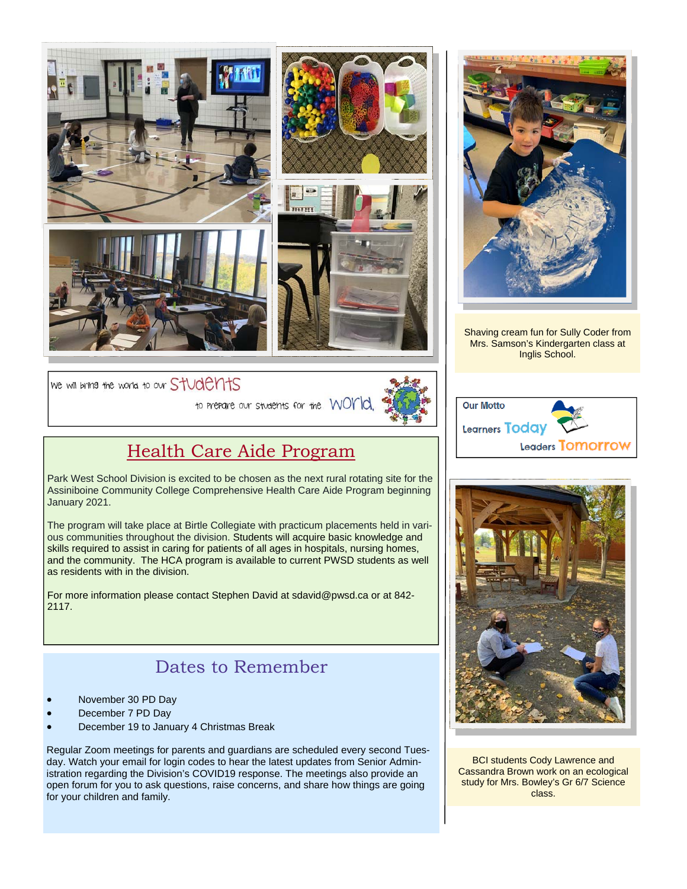



Shaving cream fun for Sully Coder from Mrs. Samson's Kindergarten class at Inglis School.

We will bring the world to our StUdents



## Health Care Aide Program

Park West School Division is excited to be chosen as the next rural rotating site for the Assiniboine Community College Comprehensive Health Care Aide Program beginning January 2021.

The program will take place at Birtle Collegiate with practicum placements held in various communities throughout the division. Students will acquire basic knowledge and skills required to assist in caring for patients of all ages in hospitals, nursing homes, and the community. The HCA program is available to current PWSD students as well as residents with in the division.

For more information please contact Stephen David at sdavid@pwsd.ca or at 842- 2117.

#### Dates to Remember

- November 30 PD Day
- December 7 PD Day
- December 19 to January 4 Christmas Break

Regular Zoom meetings for parents and guardians are scheduled every second Tuesday. Watch your email for login codes to hear the latest updates from Senior Administration regarding the Division's COVID19 response. The meetings also provide an open forum for you to ask questions, raise concerns, and share how things are going for your children and family.





BCI students Cody Lawrence and Cassandra Brown work on an ecological study for Mrs. Bowley's Gr 6/7 Science class.